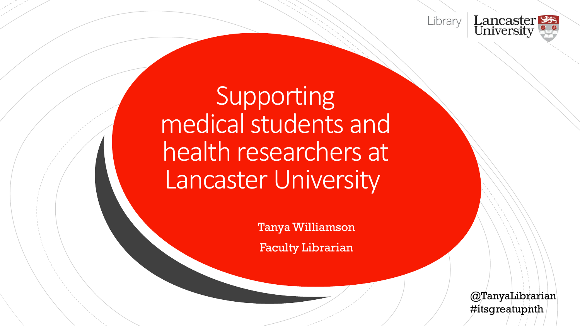



### Supporting medical students and health researchers at Lancaster University

TanyaWilliamson

Faculty Librarian

@TanyaLibrarian #itsgreatupnth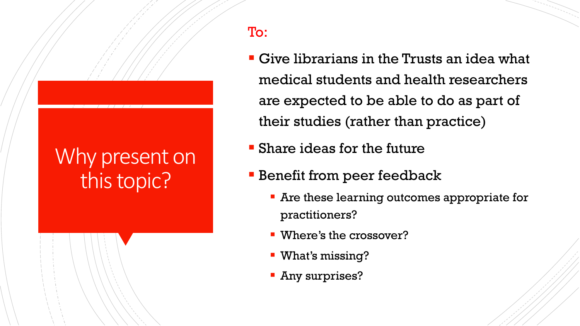### Why present on this topic?

- To:
	- Give librarians in the Trusts an idea what medical students and health researchers are expected to be able to do as part of their studies (rather than practice)
	- **E** Share ideas for the future
	- **EXECUTE: Benefit from peer feedback** 
		- **Are these learning outcomes appropriate for** practitioners?
		- Where's the crossover?
		- What's missing?
		- **Any surprises?**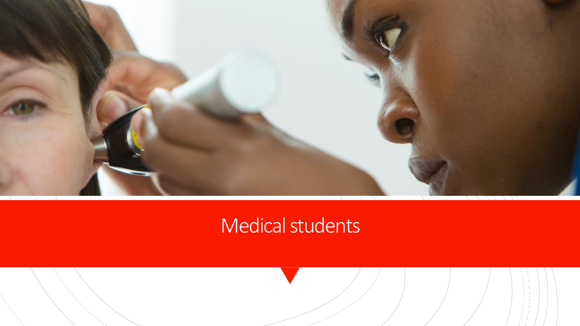

### Medical students

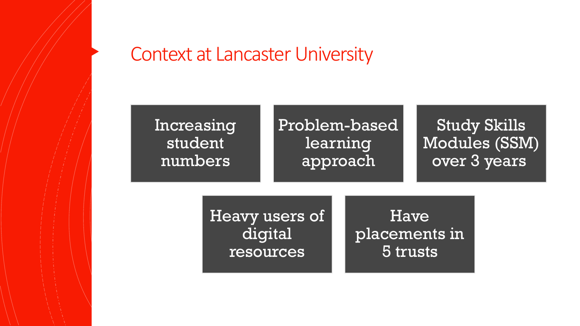#### Context at Lancaster University

#### Increasing student numbers Problem-based learning approach Study Skills Modules (SSM) over 3 years

Heavy users of digital resources

Have placements in 5 trusts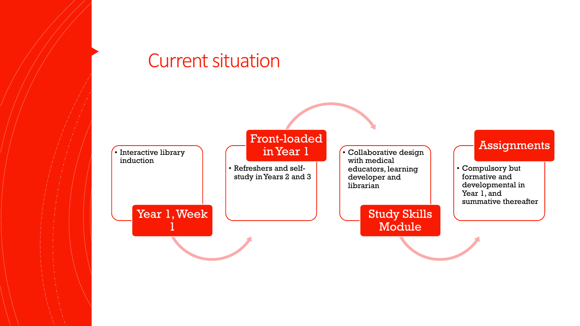#### Current situation

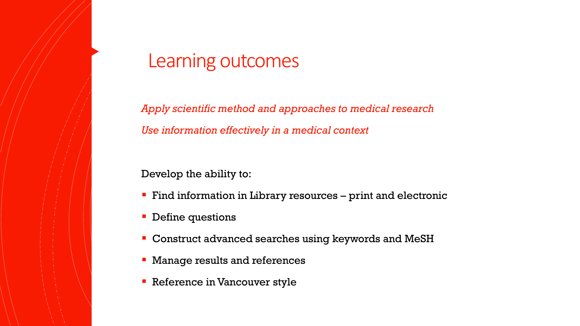#### Learning outcomes

*Apply scientific method and approaches to medical research Use information effectively in a medical context*

Develop the ability to:

- **Find information in Library resources print and electronic**
- Define questions
- Construct advanced searches using keywords and MeSH
- Manage results and references
- Reference in Vancouver style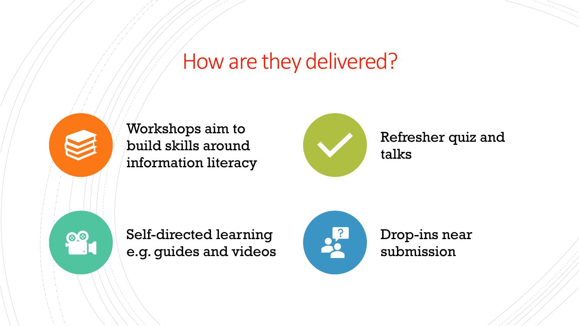### How are they delivered?



Workshops aim to build skills around information literacy



Refresher quiz and talks

Self-directed learning e.g. guides and videos



Drop-ins near submission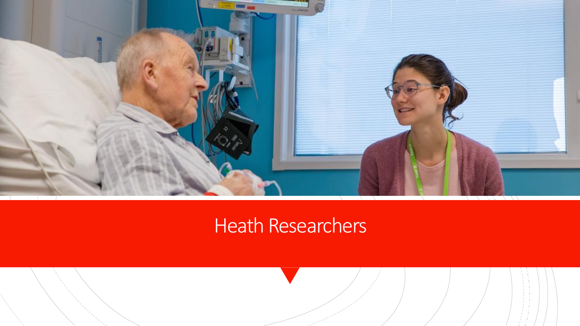

### Heath Researchers

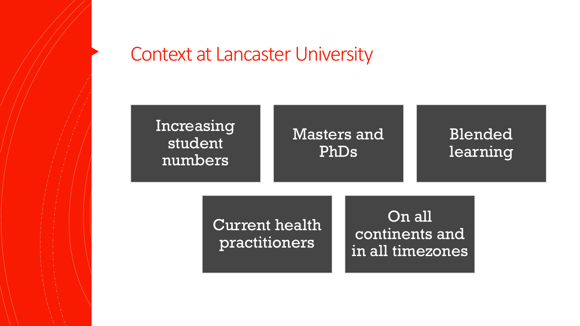#### Context at Lancaster University

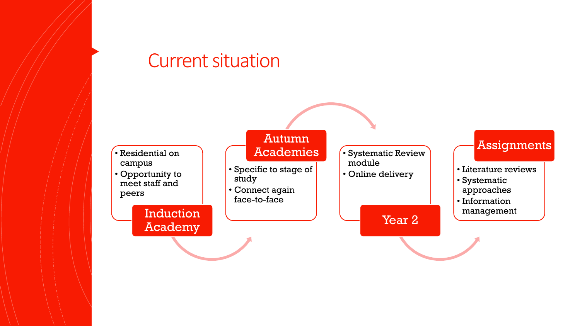#### Current situation

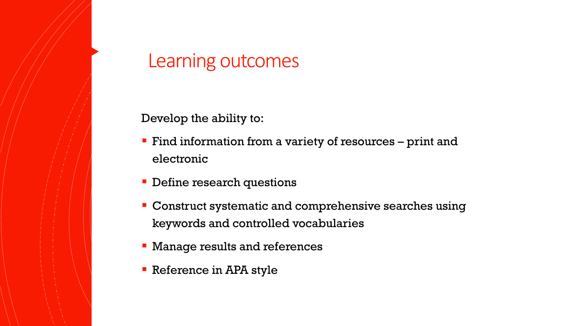#### Learning outcomes

Develop the ability to:

- **Find information from a variety of resources print and** electronic
- Define research questions
- Construct systematic and comprehensive searches using keywords and controlled vocabularies
- **EX Manage results and references**
- Reference in APA style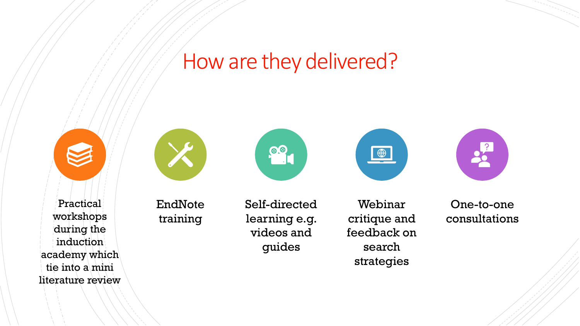### How are they delivered?







Self-directed learning e.g. videos and guides

**88** 

Webinar critique and feedback on search strategies

 $\blacksquare$ 



One-to-one consultations

**Practical** workshops during the induction academy which tie into a mini literature review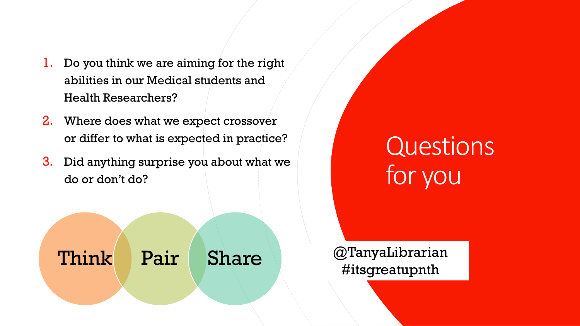- 1. Do you think we are aiming for the right abilities in our Medical students and Health Researchers?
- 2. Where does what we expect crossover or differ to what is expected in practice?
- 3. Did anything surprise you about what we do or don't do?



## **Questions** for you

#itsgreatupnth